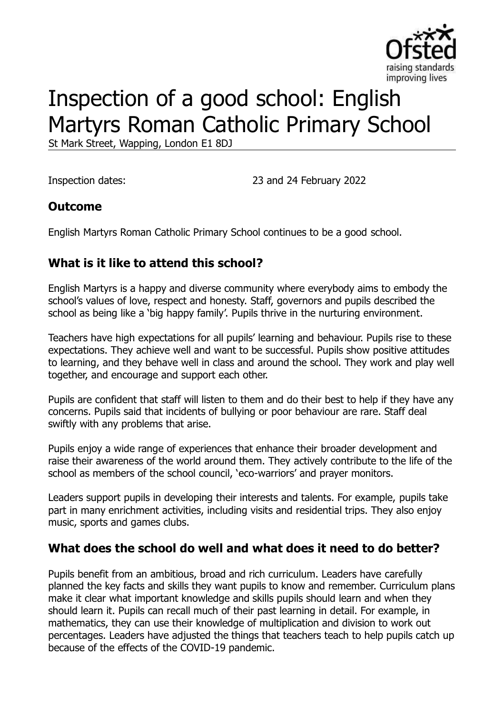

# Inspection of a good school: English Martyrs Roman Catholic Primary School

St Mark Street, Wapping, London E1 8DJ

Inspection dates: 23 and 24 February 2022

#### **Outcome**

English Martyrs Roman Catholic Primary School continues to be a good school.

# **What is it like to attend this school?**

English Martyrs is a happy and diverse community where everybody aims to embody the school's values of love, respect and honesty. Staff, governors and pupils described the school as being like a 'big happy family'. Pupils thrive in the nurturing environment.

Teachers have high expectations for all pupils' learning and behaviour. Pupils rise to these expectations. They achieve well and want to be successful. Pupils show positive attitudes to learning, and they behave well in class and around the school. They work and play well together, and encourage and support each other.

Pupils are confident that staff will listen to them and do their best to help if they have any concerns. Pupils said that incidents of bullying or poor behaviour are rare. Staff deal swiftly with any problems that arise.

Pupils enjoy a wide range of experiences that enhance their broader development and raise their awareness of the world around them. They actively contribute to the life of the school as members of the school council, 'eco-warriors' and prayer monitors.

Leaders support pupils in developing their interests and talents. For example, pupils take part in many enrichment activities, including visits and residential trips. They also enjoy music, sports and games clubs.

#### **What does the school do well and what does it need to do better?**

Pupils benefit from an ambitious, broad and rich curriculum. Leaders have carefully planned the key facts and skills they want pupils to know and remember. Curriculum plans make it clear what important knowledge and skills pupils should learn and when they should learn it. Pupils can recall much of their past learning in detail. For example, in mathematics, they can use their knowledge of multiplication and division to work out percentages. Leaders have adjusted the things that teachers teach to help pupils catch up because of the effects of the COVID-19 pandemic.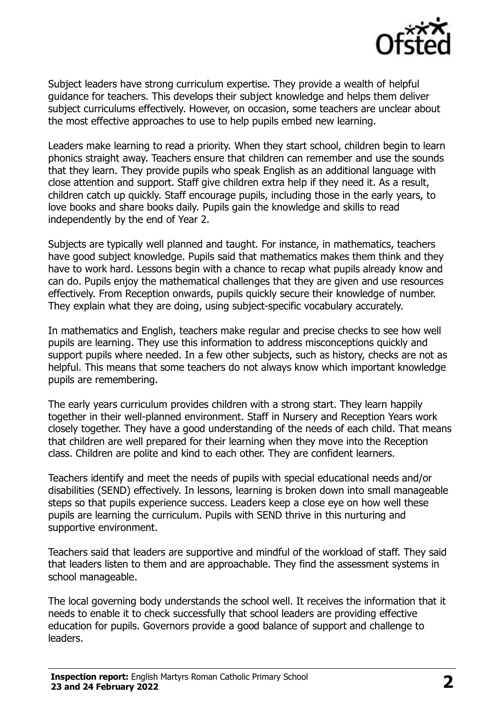

Subject leaders have strong curriculum expertise. They provide a wealth of helpful guidance for teachers. This develops their subject knowledge and helps them deliver subject curriculums effectively. However, on occasion, some teachers are unclear about the most effective approaches to use to help pupils embed new learning.

Leaders make learning to read a priority. When they start school, children begin to learn phonics straight away. Teachers ensure that children can remember and use the sounds that they learn. They provide pupils who speak English as an additional language with close attention and support. Staff give children extra help if they need it. As a result, children catch up quickly. Staff encourage pupils, including those in the early years, to love books and share books daily. Pupils gain the knowledge and skills to read independently by the end of Year 2.

Subjects are typically well planned and taught. For instance, in mathematics, teachers have good subject knowledge. Pupils said that mathematics makes them think and they have to work hard. Lessons begin with a chance to recap what pupils already know and can do. Pupils enjoy the mathematical challenges that they are given and use resources effectively. From Reception onwards, pupils quickly secure their knowledge of number. They explain what they are doing, using subject-specific vocabulary accurately.

In mathematics and English, teachers make regular and precise checks to see how well pupils are learning. They use this information to address misconceptions quickly and support pupils where needed. In a few other subjects, such as history, checks are not as helpful. This means that some teachers do not always know which important knowledge pupils are remembering.

The early years curriculum provides children with a strong start. They learn happily together in their well-planned environment. Staff in Nursery and Reception Years work closely together. They have a good understanding of the needs of each child. That means that children are well prepared for their learning when they move into the Reception class. Children are polite and kind to each other. They are confident learners.

Teachers identify and meet the needs of pupils with special educational needs and/or disabilities (SEND) effectively. In lessons, learning is broken down into small manageable steps so that pupils experience success. Leaders keep a close eye on how well these pupils are learning the curriculum. Pupils with SEND thrive in this nurturing and supportive environment.

Teachers said that leaders are supportive and mindful of the workload of staff. They said that leaders listen to them and are approachable. They find the assessment systems in school manageable.

The local governing body understands the school well. It receives the information that it needs to enable it to check successfully that school leaders are providing effective education for pupils. Governors provide a good balance of support and challenge to leaders.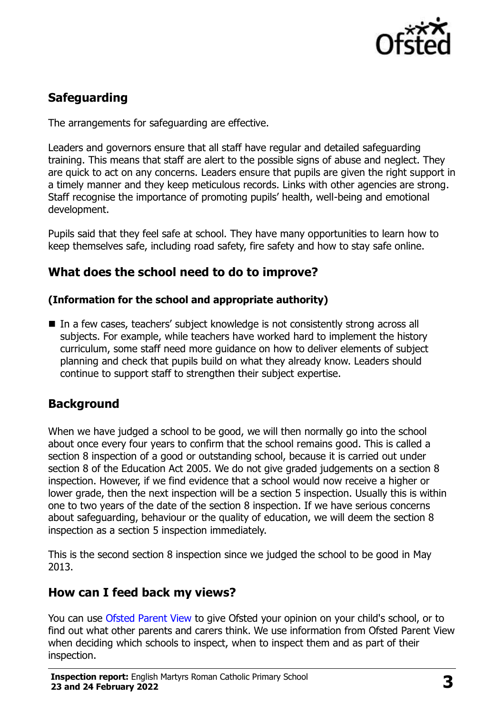

# **Safeguarding**

The arrangements for safeguarding are effective.

Leaders and governors ensure that all staff have regular and detailed safeguarding training. This means that staff are alert to the possible signs of abuse and neglect. They are quick to act on any concerns. Leaders ensure that pupils are given the right support in a timely manner and they keep meticulous records. Links with other agencies are strong. Staff recognise the importance of promoting pupils' health, well-being and emotional development.

Pupils said that they feel safe at school. They have many opportunities to learn how to keep themselves safe, including road safety, fire safety and how to stay safe online.

### **What does the school need to do to improve?**

#### **(Information for the school and appropriate authority)**

■ In a few cases, teachers' subject knowledge is not consistently strong across all subjects. For example, while teachers have worked hard to implement the history curriculum, some staff need more guidance on how to deliver elements of subject planning and check that pupils build on what they already know. Leaders should continue to support staff to strengthen their subject expertise.

# **Background**

When we have judged a school to be good, we will then normally go into the school about once every four years to confirm that the school remains good. This is called a section 8 inspection of a good or outstanding school, because it is carried out under section 8 of the Education Act 2005. We do not give graded judgements on a section 8 inspection. However, if we find evidence that a school would now receive a higher or lower grade, then the next inspection will be a section 5 inspection. Usually this is within one to two years of the date of the section 8 inspection. If we have serious concerns about safeguarding, behaviour or the quality of education, we will deem the section 8 inspection as a section 5 inspection immediately.

This is the second section 8 inspection since we judged the school to be good in May 2013.

#### **How can I feed back my views?**

You can use [Ofsted Parent View](https://parentview.ofsted.gov.uk/) to give Ofsted your opinion on your child's school, or to find out what other parents and carers think. We use information from Ofsted Parent View when deciding which schools to inspect, when to inspect them and as part of their inspection.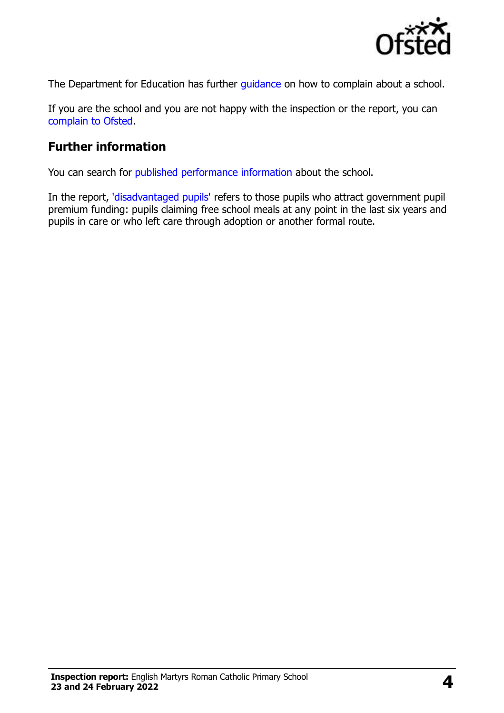

The Department for Education has further quidance on how to complain about a school.

If you are the school and you are not happy with the inspection or the report, you can [complain to Ofsted.](https://www.gov.uk/complain-ofsted-report)

## **Further information**

You can search for [published performance information](http://www.compare-school-performance.service.gov.uk/) about the school.

In the report, ['disadvantaged pupils'](http://www.gov.uk/guidance/pupil-premium-information-for-schools-and-alternative-provision-settings) refers to those pupils who attract government pupil premium funding: pupils claiming free school meals at any point in the last six years and pupils in care or who left care through adoption or another formal route.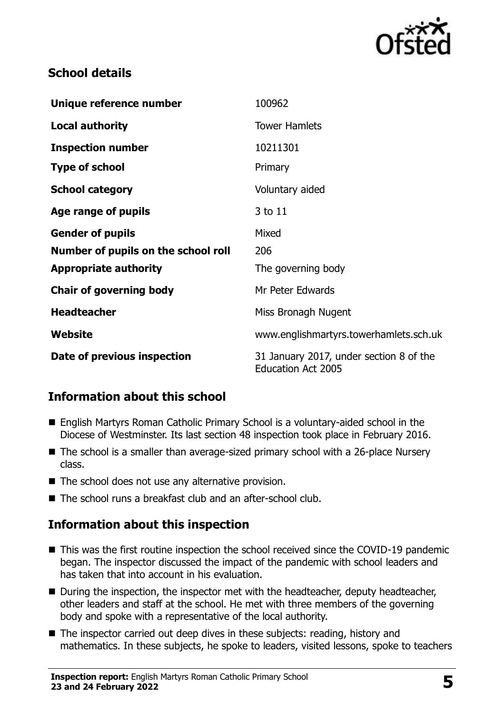

#### **School details**

| Unique reference number             | 100962                                                               |
|-------------------------------------|----------------------------------------------------------------------|
| <b>Local authority</b>              | <b>Tower Hamlets</b>                                                 |
| <b>Inspection number</b>            | 10211301                                                             |
| <b>Type of school</b>               | Primary                                                              |
| <b>School category</b>              | Voluntary aided                                                      |
| Age range of pupils                 | 3 to 11                                                              |
| <b>Gender of pupils</b>             | Mixed                                                                |
| Number of pupils on the school roll | 206                                                                  |
| <b>Appropriate authority</b>        | The governing body                                                   |
| <b>Chair of governing body</b>      | Mr Peter Edwards                                                     |
| <b>Headteacher</b>                  | Miss Bronagh Nugent                                                  |
| Website                             | www.englishmartyrs.towerhamlets.sch.uk                               |
| Date of previous inspection         | 31 January 2017, under section 8 of the<br><b>Education Act 2005</b> |

# **Information about this school**

- English Martyrs Roman Catholic Primary School is a voluntary-aided school in the Diocese of Westminster. Its last section 48 inspection took place in February 2016.
- The school is a smaller than average-sized primary school with a 26-place Nursery class.
- The school does not use any alternative provision.
- The school runs a breakfast club and an after-school club.

# **Information about this inspection**

- This was the first routine inspection the school received since the COVID-19 pandemic began. The inspector discussed the impact of the pandemic with school leaders and has taken that into account in his evaluation.
- During the inspection, the inspector met with the headteacher, deputy headteacher, other leaders and staff at the school. He met with three members of the governing body and spoke with a representative of the local authority.
- The inspector carried out deep dives in these subjects: reading, history and mathematics. In these subjects, he spoke to leaders, visited lessons, spoke to teachers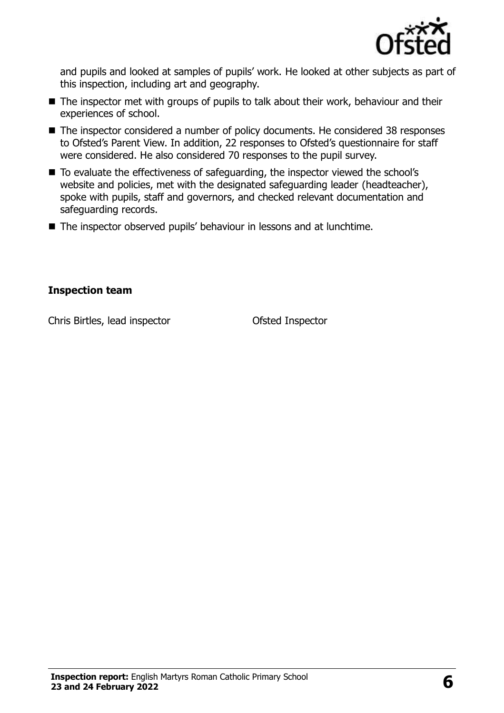

and pupils and looked at samples of pupils' work. He looked at other subjects as part of this inspection, including art and geography.

- The inspector met with groups of pupils to talk about their work, behaviour and their experiences of school.
- The inspector considered a number of policy documents. He considered 38 responses to Ofsted's Parent View. In addition, 22 responses to Ofsted's questionnaire for staff were considered. He also considered 70 responses to the pupil survey.
- To evaluate the effectiveness of safeguarding, the inspector viewed the school's website and policies, met with the designated safeguarding leader (headteacher), spoke with pupils, staff and governors, and checked relevant documentation and safeguarding records.
- The inspector observed pupils' behaviour in lessons and at lunchtime.

#### **Inspection team**

Chris Birtles, lead inspector Ofsted Inspector